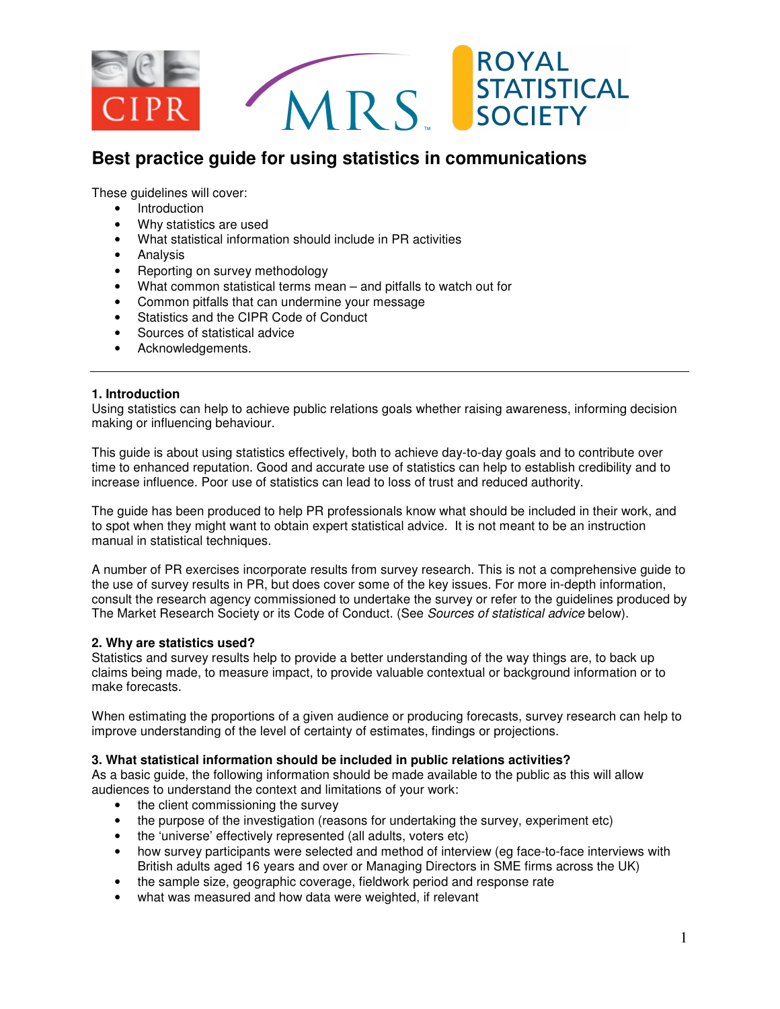

These guidelines will cover:

- Introduction
- Why statistics are used
- What statistical information should include in PR activities
- Analysis
- Reporting on survey methodology
- What common statistical terms mean and pitfalls to watch out for
- Common pitfalls that can undermine your message
- Statistics and the CIPR Code of Conduct
- Sources of statistical advice
- Acknowledgements.

### **1. Introduction**

Using statistics can help to achieve public relations goals whether raising awareness, informing decision making or influencing behaviour.

This guide is about using statistics effectively, both to achieve day-to-day goals and to contribute over time to enhanced reputation. Good and accurate use of statistics can help to establish credibility and to increase influence. Poor use of statistics can lead to loss of trust and reduced authority.

The guide has been produced to help PR professionals know what should be included in their work, and to spot when they might want to obtain expert statistical advice. It is not meant to be an instruction manual in statistical techniques.

A number of PR exercises incorporate results from survey research. This is not a comprehensive guide to the use of survey results in PR, but does cover some of the key issues. For more in-depth information, consult the research agency commissioned to undertake the survey or refer to the guidelines produced by The Market Research Society or its Code of Conduct. (See Sources of statistical advice below).

### **2. Why are statistics used?**

Statistics and survey results help to provide a better understanding of the way things are, to back up claims being made, to measure impact, to provide valuable contextual or background information or to make forecasts.

When estimating the proportions of a given audience or producing forecasts, survey research can help to improve understanding of the level of certainty of estimates, findings or projections.

### **3. What statistical information should be included in public relations activities?**

As a basic guide, the following information should be made available to the public as this will allow audiences to understand the context and limitations of your work:

- the client commissioning the survey
- the purpose of the investigation (reasons for undertaking the survey, experiment etc)
- the 'universe' effectively represented (all adults, voters etc)
- how survey participants were selected and method of interview (eg face-to-face interviews with British adults aged 16 years and over or Managing Directors in SME firms across the UK)
- the sample size, geographic coverage, fieldwork period and response rate
- what was measured and how data were weighted, if relevant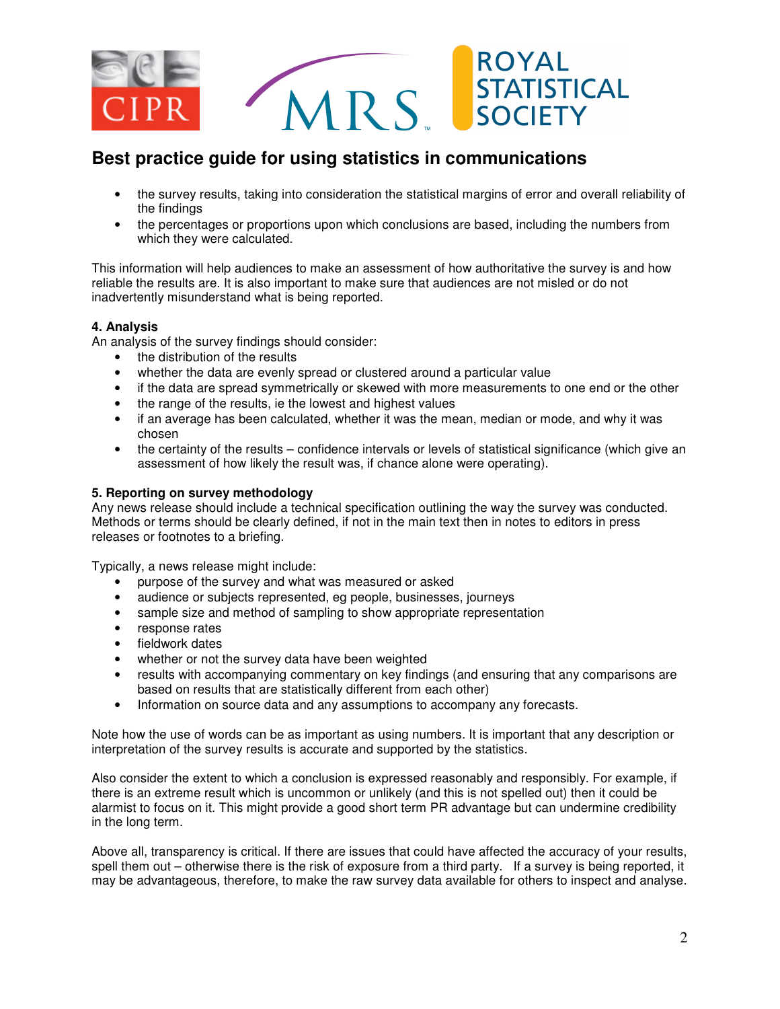

- the survey results, taking into consideration the statistical margins of error and overall reliability of the findings
- the percentages or proportions upon which conclusions are based, including the numbers from which they were calculated.

This information will help audiences to make an assessment of how authoritative the survey is and how reliable the results are. It is also important to make sure that audiences are not misled or do not inadvertently misunderstand what is being reported.

### **4. Analysis**

An analysis of the survey findings should consider:

- the distribution of the results
- whether the data are evenly spread or clustered around a particular value
- if the data are spread symmetrically or skewed with more measurements to one end or the other
- the range of the results, ie the lowest and highest values
- if an average has been calculated, whether it was the mean, median or mode, and why it was chosen
- the certainty of the results confidence intervals or levels of statistical significance (which give an assessment of how likely the result was, if chance alone were operating).

### **5. Reporting on survey methodology**

Any news release should include a technical specification outlining the way the survey was conducted. Methods or terms should be clearly defined, if not in the main text then in notes to editors in press releases or footnotes to a briefing.

Typically, a news release might include:

- purpose of the survey and what was measured or asked
- audience or subjects represented, eg people, businesses, journeys
- sample size and method of sampling to show appropriate representation
- response rates
- fieldwork dates
- whether or not the survey data have been weighted
- results with accompanying commentary on key findings (and ensuring that any comparisons are based on results that are statistically different from each other)
- Information on source data and any assumptions to accompany any forecasts.

Note how the use of words can be as important as using numbers. It is important that any description or interpretation of the survey results is accurate and supported by the statistics.

Also consider the extent to which a conclusion is expressed reasonably and responsibly. For example, if there is an extreme result which is uncommon or unlikely (and this is not spelled out) then it could be alarmist to focus on it. This might provide a good short term PR advantage but can undermine credibility in the long term.

Above all, transparency is critical. If there are issues that could have affected the accuracy of your results, spell them out – otherwise there is the risk of exposure from a third party. If a survey is being reported, it may be advantageous, therefore, to make the raw survey data available for others to inspect and analyse.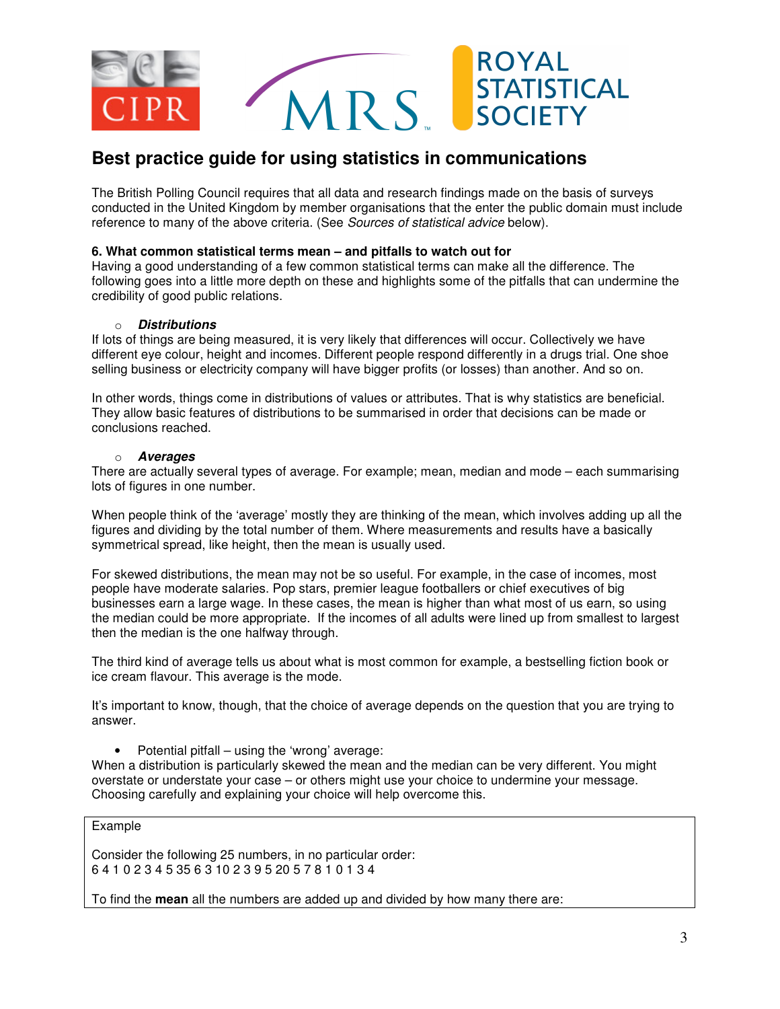

The British Polling Council requires that all data and research findings made on the basis of surveys conducted in the United Kingdom by member organisations that the enter the public domain must include reference to many of the above criteria. (See *Sources of statistical advice* below).

#### **6. What common statistical terms mean – and pitfalls to watch out for**

Having a good understanding of a few common statistical terms can make all the difference. The following goes into a little more depth on these and highlights some of the pitfalls that can undermine the credibility of good public relations.

#### o **Distributions**

If lots of things are being measured, it is very likely that differences will occur. Collectively we have different eye colour, height and incomes. Different people respond differently in a drugs trial. One shoe selling business or electricity company will have bigger profits (or losses) than another. And so on.

In other words, things come in distributions of values or attributes. That is why statistics are beneficial. They allow basic features of distributions to be summarised in order that decisions can be made or conclusions reached.

#### o **Averages**

There are actually several types of average. For example; mean, median and mode – each summarising lots of figures in one number.

When people think of the 'average' mostly they are thinking of the mean, which involves adding up all the figures and dividing by the total number of them. Where measurements and results have a basically symmetrical spread, like height, then the mean is usually used.

For skewed distributions, the mean may not be so useful. For example, in the case of incomes, most people have moderate salaries. Pop stars, premier league footballers or chief executives of big businesses earn a large wage. In these cases, the mean is higher than what most of us earn, so using the median could be more appropriate. If the incomes of all adults were lined up from smallest to largest then the median is the one halfway through.

The third kind of average tells us about what is most common for example, a bestselling fiction book or ice cream flavour. This average is the mode.

It's important to know, though, that the choice of average depends on the question that you are trying to answer.

• Potential pitfall – using the 'wrong' average:

When a distribution is particularly skewed the mean and the median can be very different. You might overstate or understate your case – or others might use your choice to undermine your message. Choosing carefully and explaining your choice will help overcome this.

Example

Consider the following 25 numbers, in no particular order: 6 4 1 0 2 3 4 5 35 6 3 10 2 3 9 5 20 5 7 8 1 0 1 3 4

To find the **mean** all the numbers are added up and divided by how many there are: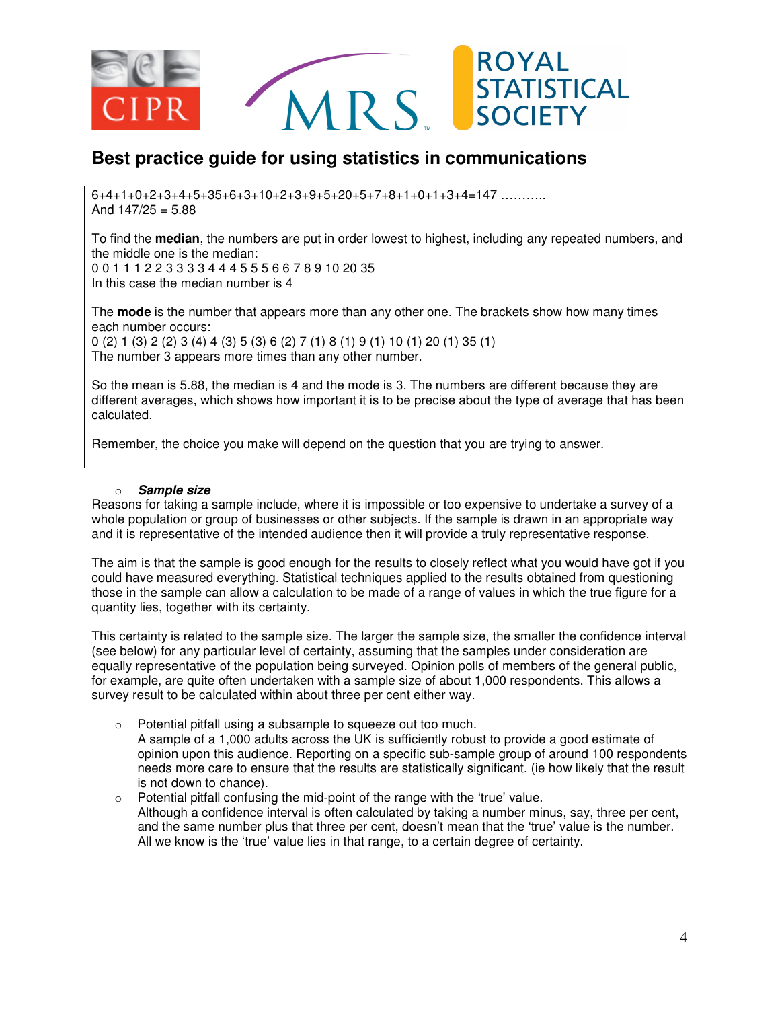

 $6+4+1+0+2+3+4+5+35+6+3+10+2+3+9+5+20+5+7+8+1+0+1+3+4=147$  ………… And  $147/25 = 5.88$ 

To find the **median**, the numbers are put in order lowest to highest, including any repeated numbers, and the middle one is the median:

0 0 1 1 1 2 2 3 3 3 3 4 4 4 5 5 5 6 6 7 8 9 10 20 35 In this case the median number is 4

The **mode** is the number that appears more than any other one. The brackets show how many times each number occurs:

0 (2) 1 (3) 2 (2) 3 (4) 4 (3) 5 (3) 6 (2) 7 (1) 8 (1) 9 (1) 10 (1) 20 (1) 35 (1) The number 3 appears more times than any other number.

So the mean is 5.88, the median is 4 and the mode is 3. The numbers are different because they are different averages, which shows how important it is to be precise about the type of average that has been calculated.

Remember, the choice you make will depend on the question that you are trying to answer.

#### o **Sample size**

Reasons for taking a sample include, where it is impossible or too expensive to undertake a survey of a whole population or group of businesses or other subjects. If the sample is drawn in an appropriate way and it is representative of the intended audience then it will provide a truly representative response.

The aim is that the sample is good enough for the results to closely reflect what you would have got if you could have measured everything. Statistical techniques applied to the results obtained from questioning those in the sample can allow a calculation to be made of a range of values in which the true figure for a quantity lies, together with its certainty.

This certainty is related to the sample size. The larger the sample size, the smaller the confidence interval (see below) for any particular level of certainty, assuming that the samples under consideration are equally representative of the population being surveyed. Opinion polls of members of the general public, for example, are quite often undertaken with a sample size of about 1,000 respondents. This allows a survey result to be calculated within about three per cent either way.

- o Potential pitfall using a subsample to squeeze out too much. A sample of a 1,000 adults across the UK is sufficiently robust to provide a good estimate of opinion upon this audience. Reporting on a specific sub-sample group of around 100 respondents needs more care to ensure that the results are statistically significant. (ie how likely that the result
- is not down to chance).  $\circ$  Potential pitfall confusing the mid-point of the range with the 'true' value. Although a confidence interval is often calculated by taking a number minus, say, three per cent, and the same number plus that three per cent, doesn't mean that the 'true' value is the number. All we know is the 'true' value lies in that range, to a certain degree of certainty.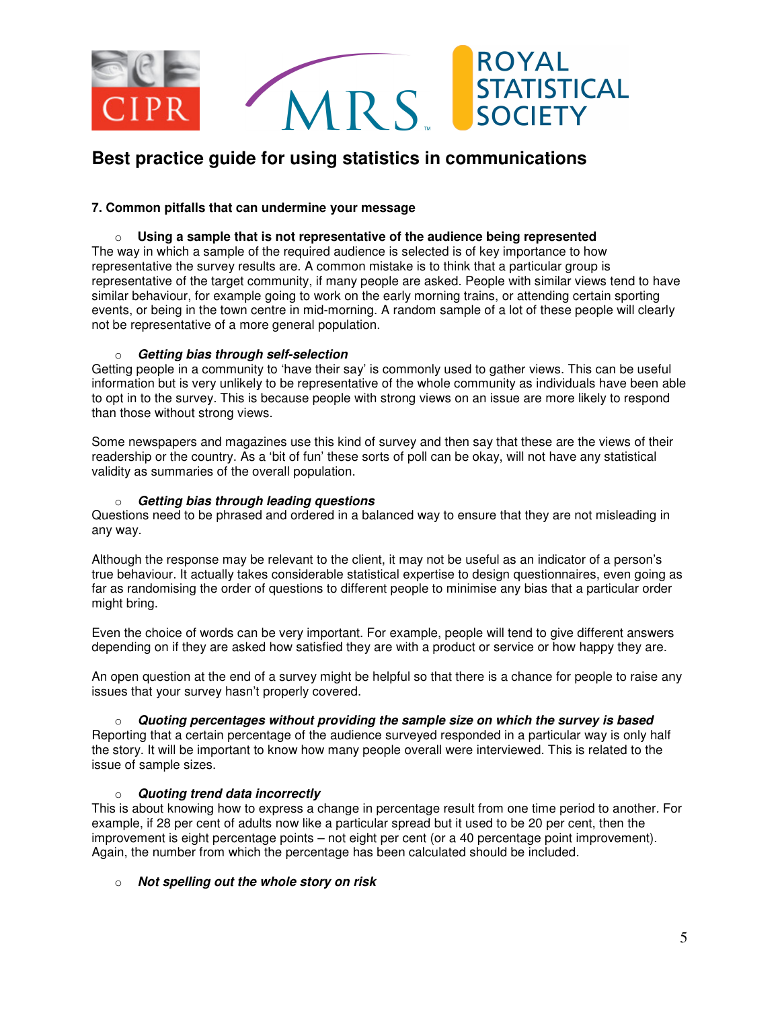

### **7. Common pitfalls that can undermine your message**

# o **Using a sample that is not representative of the audience being represented**

The way in which a sample of the required audience is selected is of key importance to how representative the survey results are. A common mistake is to think that a particular group is representative of the target community, if many people are asked. People with similar views tend to have similar behaviour, for example going to work on the early morning trains, or attending certain sporting events, or being in the town centre in mid-morning. A random sample of a lot of these people will clearly not be representative of a more general population.

### o **Getting bias through self-selection**

Getting people in a community to 'have their say' is commonly used to gather views. This can be useful information but is very unlikely to be representative of the whole community as individuals have been able to opt in to the survey. This is because people with strong views on an issue are more likely to respond than those without strong views.

Some newspapers and magazines use this kind of survey and then say that these are the views of their readership or the country. As a 'bit of fun' these sorts of poll can be okay, will not have any statistical validity as summaries of the overall population.

#### o **Getting bias through leading questions**

Questions need to be phrased and ordered in a balanced way to ensure that they are not misleading in any way.

Although the response may be relevant to the client, it may not be useful as an indicator of a person's true behaviour. It actually takes considerable statistical expertise to design questionnaires, even going as far as randomising the order of questions to different people to minimise any bias that a particular order might bring.

Even the choice of words can be very important. For example, people will tend to give different answers depending on if they are asked how satisfied they are with a product or service or how happy they are.

An open question at the end of a survey might be helpful so that there is a chance for people to raise any issues that your survey hasn't properly covered.

o **Quoting percentages without providing the sample size on which the survey is based**  Reporting that a certain percentage of the audience surveyed responded in a particular way is only half the story. It will be important to know how many people overall were interviewed. This is related to the issue of sample sizes.

### o **Quoting trend data incorrectly**

This is about knowing how to express a change in percentage result from one time period to another. For example, if 28 per cent of adults now like a particular spread but it used to be 20 per cent, then the improvement is eight percentage points – not eight per cent (or a 40 percentage point improvement). Again, the number from which the percentage has been calculated should be included.

### o **Not spelling out the whole story on risk**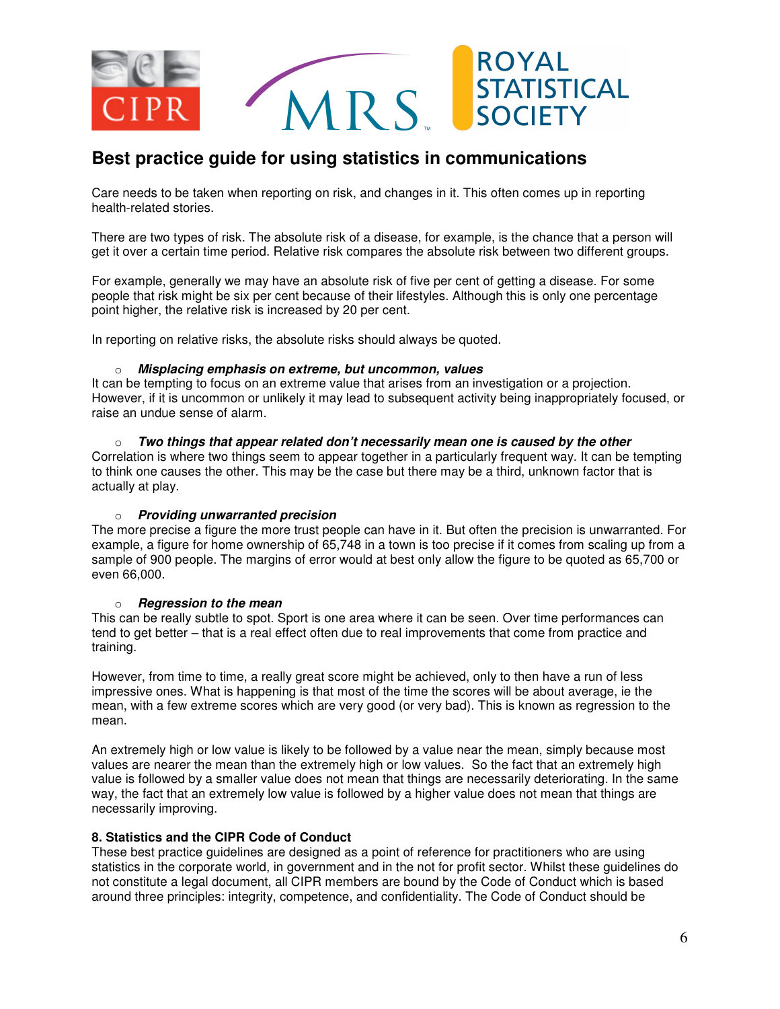

Care needs to be taken when reporting on risk, and changes in it. This often comes up in reporting health-related stories.

There are two types of risk. The absolute risk of a disease, for example, is the chance that a person will get it over a certain time period. Relative risk compares the absolute risk between two different groups.

For example, generally we may have an absolute risk of five per cent of getting a disease. For some people that risk might be six per cent because of their lifestyles. Although this is only one percentage point higher, the relative risk is increased by 20 per cent.

In reporting on relative risks, the absolute risks should always be quoted.

#### o **Misplacing emphasis on extreme, but uncommon, values**

It can be tempting to focus on an extreme value that arises from an investigation or a projection. However, if it is uncommon or unlikely it may lead to subsequent activity being inappropriately focused, or raise an undue sense of alarm.

o **Two things that appear related don't necessarily mean one is caused by the other**  Correlation is where two things seem to appear together in a particularly frequent way. It can be tempting to think one causes the other. This may be the case but there may be a third, unknown factor that is actually at play.

#### o **Providing unwarranted precision**

The more precise a figure the more trust people can have in it. But often the precision is unwarranted. For example, a figure for home ownership of 65,748 in a town is too precise if it comes from scaling up from a sample of 900 people. The margins of error would at best only allow the figure to be quoted as 65,700 or even 66,000.

#### o **Regression to the mean**

This can be really subtle to spot. Sport is one area where it can be seen. Over time performances can tend to get better – that is a real effect often due to real improvements that come from practice and training.

However, from time to time, a really great score might be achieved, only to then have a run of less impressive ones. What is happening is that most of the time the scores will be about average, ie the mean, with a few extreme scores which are very good (or very bad). This is known as regression to the mean.

An extremely high or low value is likely to be followed by a value near the mean, simply because most values are nearer the mean than the extremely high or low values. So the fact that an extremely high value is followed by a smaller value does not mean that things are necessarily deteriorating. In the same way, the fact that an extremely low value is followed by a higher value does not mean that things are necessarily improving.

### **8. Statistics and the CIPR Code of Conduct**

These best practice guidelines are designed as a point of reference for practitioners who are using statistics in the corporate world, in government and in the not for profit sector. Whilst these guidelines do not constitute a legal document, all CIPR members are bound by the Code of Conduct which is based around three principles: integrity, competence, and confidentiality. The Code of Conduct should be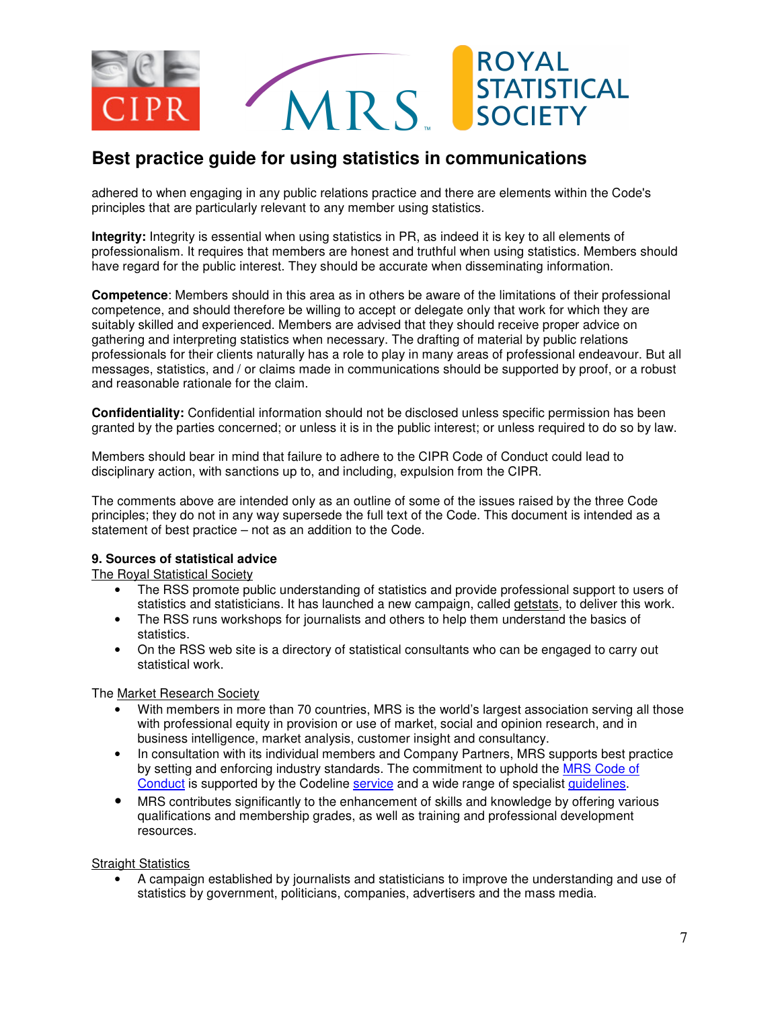

adhered to when engaging in any public relations practice and there are elements within the Code's principles that are particularly relevant to any member using statistics.

**Integrity:** Integrity is essential when using statistics in PR, as indeed it is key to all elements of professionalism. It requires that members are honest and truthful when using statistics. Members should have regard for the public interest. They should be accurate when disseminating information.

**Competence**: Members should in this area as in others be aware of the limitations of their professional competence, and should therefore be willing to accept or delegate only that work for which they are suitably skilled and experienced. Members are advised that they should receive proper advice on gathering and interpreting statistics when necessary. The drafting of material by public relations professionals for their clients naturally has a role to play in many areas of professional endeavour. But all messages, statistics, and / or claims made in communications should be supported by proof, or a robust and reasonable rationale for the claim.

**Confidentiality:** Confidential information should not be disclosed unless specific permission has been granted by the parties concerned; or unless it is in the public interest; or unless required to do so by law.

Members should bear in mind that failure to adhere to the CIPR Code of Conduct could lead to disciplinary action, with sanctions up to, and including, expulsion from the CIPR.

The comments above are intended only as an outline of some of the issues raised by the three Code principles; they do not in any way supersede the full text of the Code. This document is intended as a statement of best practice – not as an addition to the Code.

### **9. Sources of statistical advice**

The Royal Statistical Society

- The RSS promote public understanding of statistics and provide professional support to users of statistics and statisticians. It has launched a new campaign, called getstats, to deliver this work.
- The RSS runs workshops for journalists and others to help them understand the basics of statistics.
- On the RSS web site is a directory of statistical consultants who can be engaged to carry out statistical work.

The Market Research Society

- With members in more than 70 countries, MRS is the world's largest association serving all those with professional equity in provision or use of market, social and opinion research, and in business intelligence, market analysis, customer insight and consultancy.
- In consultation with its individual members and Company Partners, MRS supports best practice by setting and enforcing industry standards. The commitment to uphold the MRS Code of Conduct is supported by the Codeline service and a wide range of specialist guidelines.
- MRS contributes significantly to the enhancement of skills and knowledge by offering various qualifications and membership grades, as well as training and professional development resources.

Straight Statistics

• A campaign established by journalists and statisticians to improve the understanding and use of statistics by government, politicians, companies, advertisers and the mass media.